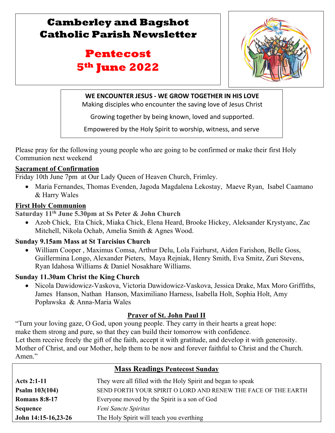## **Camberley and Bagshot Catholic Parish Newsletter**

# **Pentecost 5th June 2022**



### **WE ENCOUNTER JESUS - WE GROW TOGETHER IN HIS LOVE**

Making disciples who encounter the saving love of Jesus Christ

Growing together by being known, loved and supported.

Empowered by the Holy Spirit to worship, witness, and serve

Please pray for the following young people who are going to be confirmed or make their first Holy Communion next weekend

### **Sacrament of Confirmation**

l

 $\mathbb{R}$ 

Friday 10th June 7pm at Our Lady Queen of Heaven Church, Frimley.

• Maria Fernandes, Thomas Evenden, Jagoda Magdalena Lekostay, Maeve Ryan, Isabel Caamano & Harry Wales

### **First Holy Communion**

**Saturday 11th June 5.30pm at Ss Peter & John Church**

• Azob Chick, Eta Chick, Miaka Chick, Elena Heard, Brooke Hickey, Aleksander Krystyanc, Zac Mitchell, Nikola Ochab, Amelia Smith & Agnes Wood.

### **Sunday 9.15am Mass at St Tarcisius Church**

• William Cooper , Maximus Comsa, Arthur Delu, Lola Fairhurst, Aiden Farishon, Belle Goss, Guillermina Longo, Alexander Pieters, Maya Rejniak, Henry Smith, Eva Smitz, Zuri Stevens, Ryan Idahosa Williams & Daniel Nosakhare Williams.

### **Sunday 11.30am Christ the King Church**

• Nicola Dawidowicz-Vaskova, Victoria Dawidowicz-Vaskova, Jessica Drake, Max Moro Griffiths, James Hanson, Nathan Hanson, Maximiliano Harness, Isabella Holt, Sophia Holt, Amy Popławska & Anna-Maria Wales

### **Prayer of St. John Paul II**

"Turn your loving gaze, O God, upon young people. They carry in their hearts a great hope: make them strong and pure, so that they can build their tomorrow with confidence. Let them receive freely the gift of the faith, accept it with gratitude, and develop it with generosity. Mother of Christ, and our Mother, help them to be now and forever faithful to Christ and the Church. Amen."

| <b>Mass Readings Pentecost Sunday</b> |                                                               |  |  |  |
|---------------------------------------|---------------------------------------------------------------|--|--|--|
| <b>Acts 2:1-11</b>                    | They were all filled with the Holy Spirit and began to speak  |  |  |  |
| Psalm 103(104)                        | SEND FORTH YOUR SPIRIT O LORD AND RENEW THE FACE OF THE EARTH |  |  |  |
| <b>Romans 8:8-17</b>                  | Everyone moved by the Spirit is a son of God                  |  |  |  |
| <b>Sequence</b>                       | Veni Sancte Spiritus                                          |  |  |  |
| John 14:15-16,23-26                   | The Holy Spirit will teach you everthing                      |  |  |  |
|                                       |                                                               |  |  |  |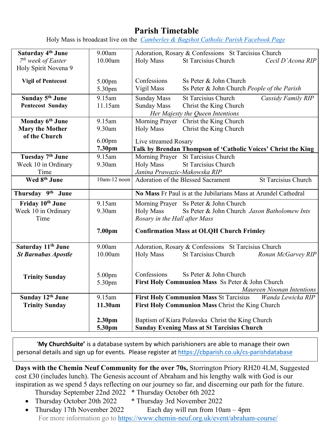### **Parish Timetable**

Holy Mass is broadcast live on the *[Camberley & Bagshot Catholic Parish Facebook Page](https://www.facebook.com/Camberley-Bagshot-Catholic-Parish-102099478101801/)*

| Saturday 4 <sup>th</sup> June  | 9.00am                       | Adoration, Rosary & Confessions St Tarcisius Church |                                                                                                       |                                                          |
|--------------------------------|------------------------------|-----------------------------------------------------|-------------------------------------------------------------------------------------------------------|----------------------------------------------------------|
| $7th$ week of Easter           | 10.00am                      | <b>Holy Mass</b>                                    | <b>St Tarcisius Church</b>                                                                            | Cecil D'Acona RIP                                        |
| Holy Spirit Novena 9           |                              |                                                     |                                                                                                       |                                                          |
|                                |                              |                                                     |                                                                                                       |                                                          |
| <b>Vigil of Pentecost</b>      | 5.00pm                       | Confessions                                         | Ss Peter & John Church                                                                                |                                                          |
|                                | 5.30pm                       | Vigil Mass                                          | Ss Peter & John Church People of the Parish                                                           |                                                          |
| Sunday 5 <sup>th</sup> June    | 9.15am                       | <b>Sunday Mass</b>                                  | <b>St Tarcisius Church</b>                                                                            | Cassidy Family RIP                                       |
| <b>Pentecost Sunday</b>        | 11.15am                      | <b>Sunday Mass</b>                                  | Christ the King Church                                                                                |                                                          |
|                                |                              | Her Majesty the Queen Intentions                    |                                                                                                       |                                                          |
| Monday 6 <sup>th</sup> June    | 9.15am                       |                                                     | Morning Prayer Christ the King Church                                                                 |                                                          |
| <b>Mary the Mother</b>         | 9.30am                       | <b>Holy Mass</b>                                    | Christ the King Church                                                                                |                                                          |
| of the Church                  |                              |                                                     |                                                                                                       |                                                          |
|                                | 6.00 <sub>pm</sub><br>7.30pm | Live streamed Rosary                                |                                                                                                       |                                                          |
|                                | 9.15am                       |                                                     | Talk by Brendan Thompson of 'Catholic Voices' Christ the King<br>Morning Prayer St Tarcisius Church   |                                                          |
| Tuesday 7 <sup>th</sup> June   | 9.30am                       |                                                     | <b>St Tarcisius Church</b>                                                                            |                                                          |
| Week 10 in Ordinary<br>Time    |                              | <b>Holy Mass</b>                                    |                                                                                                       |                                                          |
| Wed 8th June                   | $10am-12$ noon               | Janina Prawazic-Makowska RIP                        |                                                                                                       |                                                          |
|                                |                              |                                                     | Adoration of the Blessed Sacrament                                                                    | <b>St Tarcisius Church</b>                               |
|                                |                              |                                                     |                                                                                                       |                                                          |
| Thursday 9 <sup>th</sup> June  |                              |                                                     | No Mass Fr Paul is at the Jubilarians Mass at Arundel Cathedral                                       |                                                          |
| Friday 10 <sup>th</sup> June   | 9.15am                       |                                                     | Morning Prayer Ss Peter & John Church                                                                 |                                                          |
| Week 10 in Ordinary            | 9.30am                       | <b>Holy Mass</b>                                    | Ss Peter & John Church Jason Batholomew Ints                                                          |                                                          |
| Time                           |                              | Rosary in the Hall after Mass                       |                                                                                                       |                                                          |
|                                |                              |                                                     |                                                                                                       |                                                          |
|                                | 7.00pm                       |                                                     | <b>Confirmation Mass at OLQH Church Frimley</b>                                                       |                                                          |
| Saturday 11 <sup>th</sup> June | 9.00am                       |                                                     | Adoration, Rosary & Confessions St Tarcisius Church                                                   |                                                          |
| <b>St Barnabas Apostle</b>     | 10.00am                      | <b>Holy Mass</b>                                    | St Tarcisius Church                                                                                   | Ronan McGarvey RIP                                       |
|                                |                              |                                                     |                                                                                                       |                                                          |
|                                |                              |                                                     |                                                                                                       |                                                          |
| <b>Trinity Sunday</b>          | 5.00pm                       | Confessions                                         | Ss Peter & John Church                                                                                |                                                          |
|                                | 5.30pm                       |                                                     | First Holy Communion Mass Ss Peter & John Church                                                      |                                                          |
|                                |                              |                                                     |                                                                                                       | Maureen Noonan Intentions                                |
| Sunday 12th June               | 9.15am                       |                                                     |                                                                                                       | First Holy Communion Mass St Tarcisius Wanda Lewicka RIP |
| <b>Trinity Sunday</b>          | 11.30am                      |                                                     | First Holy Communion Mass Christ the King Church                                                      |                                                          |
|                                |                              |                                                     |                                                                                                       |                                                          |
|                                | 2.30pm<br>5.30pm             |                                                     | Baptism of Kiara Polawska Christ the King Church<br><b>Sunday Evening Mass at St Tarcisius Church</b> |                                                          |

'**My ChurchSuite'** is a database system by which parishioners are able to manage their own personal details and sign up for events. Please register at<https://cbparish.co.uk/cs-parishdatabase>

**Days with the Chemin Neuf Community for the over 70s,** Storrington Priory RH20 4LM, Suggested cost £30 (includes lunch). The Genesis account of Abraham and his lengthy walk with God is our inspiration as we spend 5 days reflecting on our journey so far, and discerning our path for the future.

- Thursday September 22nd 2022 \* Thursday October 6th 2022
- Thursday October 20th 2022 \* Thursday 3rd November 2022
- Thursday 17th November 2022 Each day will run from 10am 4pm For more information go to<https://www.chemin-neuf.org.uk/event/abraham-course/>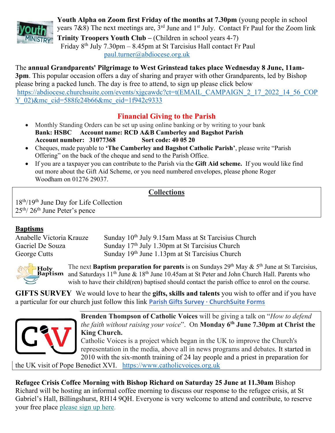

**Youth Alpha on Zoom first Friday of the months at 7.30pm** (young people in school years 7&8) The next meetings are,  $3<sup>rd</sup>$  June and  $1<sup>st</sup>$  July. Contact Fr Paul for the Zoom link **Trinity Troopers Youth Club –** (Children in school years 4-7)

Friday  $8<sup>th</sup>$  July 7.30pm – 8.45pm at St Tarcisius Hall contact Fr Paul [paul.turner@abdiocese.org.uk](mailto:paul.turner@abdiocese.org.uk) 

The **annual Grandparents' Pilgrimage to West Grinstead takes place Wednesday 8 June, 11am-3pm**. This popular occasion offers a day of sharing and prayer with other Grandparents, led by Bishop please bring a packed lunch. The day is free to attend, to sign up please click below [https://abdiocese.churchsuite.com/events/xjgcawdc?ct=t\(EMAIL\\_CAMPAIGN\\_2\\_17\\_2022\\_14\\_56\\_COP](https://abdiocese.churchsuite.com/events/xjgcawdc?ct=t(EMAIL_CAMPAIGN_2_17_2022_14_56_COPY_02)&mc_cid=588fe24b66&mc_eid=1f942c9333) [Y\\_02\)&mc\\_cid=588fe24b66&mc\\_eid=1f942c9333](https://abdiocese.churchsuite.com/events/xjgcawdc?ct=t(EMAIL_CAMPAIGN_2_17_2022_14_56_COPY_02)&mc_cid=588fe24b66&mc_eid=1f942c9333)

### **Financial Giving to the Parish**

- Monthly Standing Orders can be set up using online banking or by writing to your bank **Bank: HSBC Account name: RCD A&B Camberley and Bagshot Parish Account number: 31077368 Sort code: 40 05 20**
- Cheques, made payable to **'The Camberley and Bagshot Catholic Parish'**, please write "Parish Offering" on the back of the cheque and send to the Parish Office.
- If you are a taxpayer you can contribute to the Parish via the **Gift Aid scheme.** If you would like find out more about the Gift Aid Scheme, or you need numbered envelopes, please phone Roger Woodham on 01276 29037.

### **Collections**

18th/19th June Day for Life Collection  $25<sup>th</sup> / 26<sup>th</sup>$  June Peter's pence

### **Baptisms**

Anabelle Victoria Krauze Sunday  $10^{th}$  July 9.15am Mass at St Tarcisius Church Gacriel De Souza Sunday 17<sup>th</sup> July 1.30pm at St Tarcisius Church George Cutts Sunday 19<sup>th</sup> June 1.13pm at St Tarcisius Church



The next **Baptism preparation for parents** is on Sundays 29<sup>th</sup> May & 5<sup>th</sup> June at St Tarcisius, **Holy** The next **Baptism preparation for parents** is on summays  $22$  km,  $\infty$  and  $\infty$  and Saturdays  $11^{\text{th}}$  June &  $18^{\text{th}}$  June 10.45am at St Peter and John Church Hall. Parents who wish to have their child(ren) baptised should contact the parish office to enrol on the course.

**GIFTS SURVEY** We would love to hear the **gifts, skills and talents** you wish to offer and if you have a particular for our church just follow this link **[Parish Gifts Survey · ChurchSuite Forms](https://camberleybagshotcatholicparish.churchsuite.com/forms/dhozqq3w)**



**Brenden Thompson of Catholic Voices** will be giving a talk on "*How to defend the faith without raising your voice*". On **Monday 6th June 7.30pm at Christ the King Church.** 

Catholic Voices is a project which began in the UK to improve the Church's representation in the media, above all in news programs and debates. It started in 2010 with the six-month training of 24 lay people and a priest in preparation for

the UK visit of Pope Benedict XVI. [https://www.catholicvoices.org.uk](https://www.catholicvoices.org.uk/)

**Refugee Crisis Coffee Morning with Bishop Richard on Saturday 25 June at 11.30am** Bishop Richard will be hosting an informal coffee morning to discuss our response to the refugee crisis, at St Gabriel's Hall, Billingshurst, RH14 9QH. Everyone is very welcome to attend and contribute, to reserve your free place [please](https://eur02.safelinks.protection.outlook.com/?url=https%3A%2F%2Fabdiocese.us9.list-manage.com%2Ftrack%2Fclick%3Fu%3D6ad3715cf61665df736c264a6%26id%3D1fc5c700d0%26e%3D1f942c9333&data=05%7C01%7Cpaul.turner%40abdiocese.org.uk%7C1373acbc2f61448a184e08da3434e977%7C2bf5dbc217ef4efca1c9ab2dc4edefd0%7C0%7C0%7C637879699103419213%7CUnknown%7CTWFpbGZsb3d8eyJWIjoiMC4wLjAwMDAiLCJQIjoiV2luMzIiLCJBTiI6Ik1haWwiLCJXVCI6Mn0%3D%7C3000%7C%7C%7C&sdata=f396MJNMJkyikoY3LHLNQ7DKZgZk9HHi3ESlHy2S0PI%3D&reserved=0) sign up here.